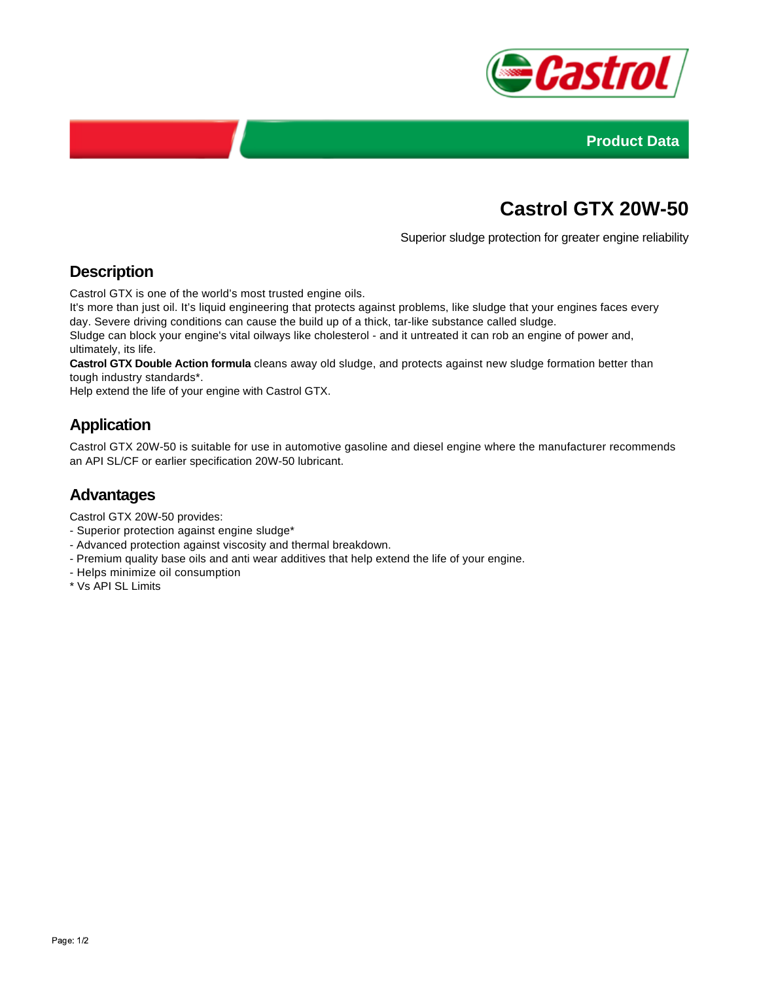



# **Castrol GTX 20W-50**

Superior sludge protection for greater engine reliability

## **Description**

Castrol GTX is one of the world's most trusted engine oils.

It's more than just oil. It's liquid engineering that protects against problems, like sludge that your engines faces every day. Severe driving conditions can cause the build up of a thick, tar-like substance called sludge.

Sludge can block your engine's vital oilways like cholesterol - and it untreated it can rob an engine of power and, ultimately, its life.

**Castrol GTX Double Action formula** cleans away old sludge, and protects against new sludge formation better than tough industry standards\*.

Help extend the life of your engine with Castrol GTX.

## **Application**

Castrol GTX 20W-50 is suitable for use in automotive gasoline and diesel engine where the manufacturer recommends an API SL/CF or earlier specification 20W-50 lubricant.

#### **Advantages**

Castrol GTX 20W-50 provides:

- Superior protection against engine sludge\*
- Advanced protection against viscosity and thermal breakdown.
- Premium quality base oils and anti wear additives that help extend the life of your engine.
- Helps minimize oil consumption
- \* Vs API SL Limits